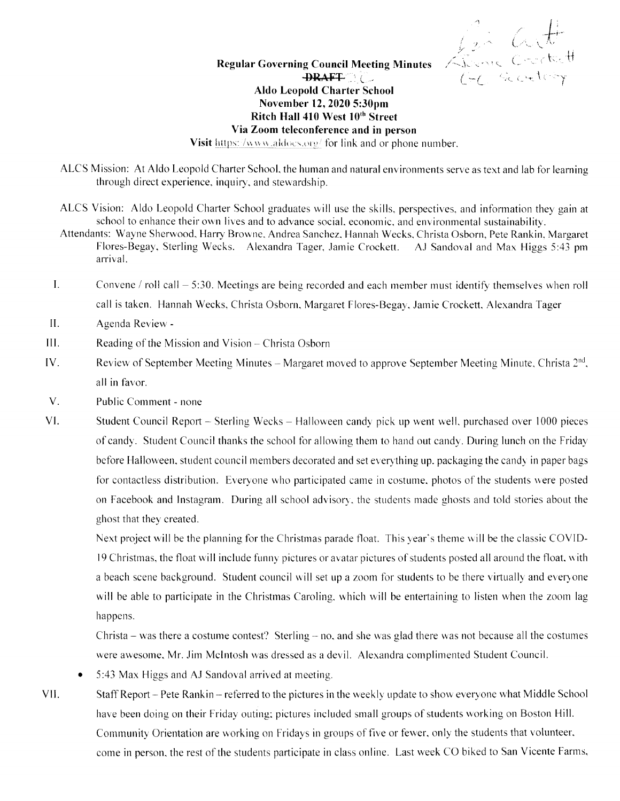Same Crockett

## **Regular Governing Council Meeting Minutes**  $\rightarrow$ **PRAFT Aldo Leopold Charter School** November 12, 2020 5:30pm Ritch Hall 410 West 10th Street Via Zoom teleconference and in person

Visit https://www.aldocs.org/ for link and or phone number.

- ALCS Mission: At Aldo Leopold Charter School, the human and natural environments serve as text and lab for learning through direct experience, inquiry, and stewardship.
- ALCS Vision: Aldo Leopold Charter School graduates will use the skills, perspectives, and information they gain at school to enhance their own lives and to advance social, economic, and environmental sustainability.
- Attendants: Wayne Sherwood, Harry Browne, Andrea Sanchez, Hannah Wecks, Christa Osborn, Pete Rankin, Margaret Flores-Begay, Sterling Wecks. Alexandra Tager, Jamie Crockett. AJ Sandoval and Max Higgs 5:43 pm arrival.
- $\mathbf{I}$ . Convene / roll call  $-5:30$ . Meetings are being recorded and each member must identify themselves when roll call is taken. Hannah Wecks, Christa Osborn, Margaret Flores-Begay, Jamie Crockett, Alexandra Tager
- $II.$ Agenda Review -
- $III.$ Reading of the Mission and Vision – Christa Osborn
- IV. Review of September Meeting Minutes – Margaret moved to approve September Meeting Minute, Christa  $2<sup>nd</sup>$ , all in favor.
- $V<sub>1</sub>$ Public Comment - none
- VI. Student Council Report – Sterling Wecks – Halloween candy pick up went well, purchased over 1000 pieces of candy. Student Council thanks the school for allowing them to hand out candy. During lunch on the Friday before Halloween, student council members decorated and set everything up. packaging the candy in paper bags for contactless distribution. Everyone who participated came in costume, photos of the students were posted on Facebook and Instagram. During all school advisory, the students made ghosts and told stories about the ghost that they created.

Next project will be the planning for the Christmas parade float. This year's theme will be the classic COVID-19 Christmas, the float will include funny pictures or avatar pictures of students posted all around the float, with a beach scene background. Student council will set up a zoom for students to be there virtually and everyone will be able to participate in the Christmas Caroling, which will be entertaining to listen when the zoom lag happens.

Christa – was there a costume contest? Sterling – no, and she was glad there was not because all the costumes were awesome, Mr. Jim McIntosh was dressed as a devil. Alexandra complimented Student Council.

- 5:43 Max Higgs and AJ Sandoval arrived at meeting.
- VII. Staff Report – Pete Rankin – referred to the pictures in the weekly update to show everyone what Middle School have been doing on their Friday outing; pictures included small groups of students working on Boston Hill. Community Orientation are working on Fridays in groups of five or fewer, only the students that volunteer, come in person, the rest of the students participate in class online. Last week CO biked to San Vicente Farms,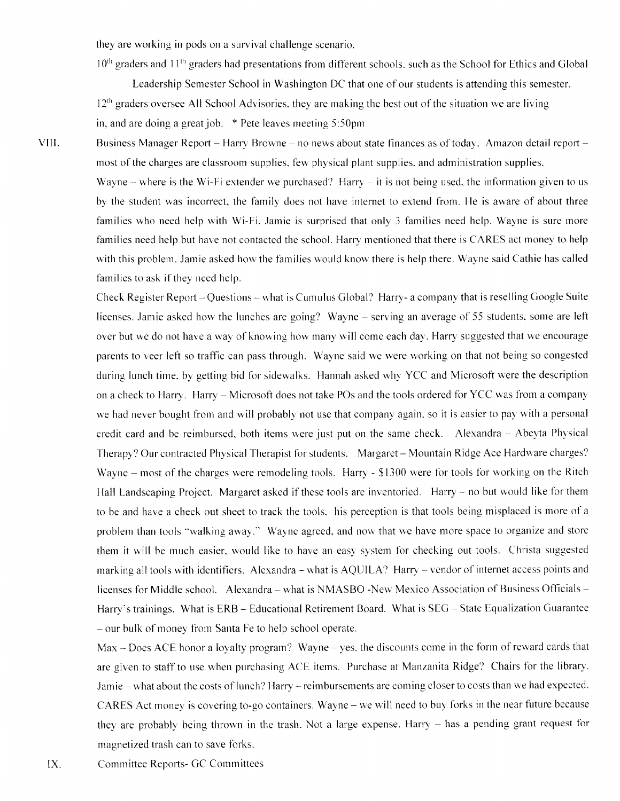they are working in pods on a survival challenge scenario.

10<sup>th</sup> graders and 11<sup>th</sup> graders had presentations from different schools, such as the School for Ethics and Global

Leadership Semester School in Washington DC that one of our students is attending this semester.  $12<sup>th</sup>$  graders oversee All School Advisories, they are making the best out of the situation we are living in, and are doing a great job.  $*$  Pete leaves meeting 5:50pm

VIII.

Business Manager Report - Harry Browne - no news about state finances as of today. Amazon detail report most of the charges are classroom supplies, few physical plant supplies, and administration supplies. Wayne – where is the Wi-Fi extender we purchased? Harry – it is not being used, the information given to us by the student was incorrect, the family does not have internet to extend from. He is aware of about three families who need help with Wi-Fi. Jamie is surprised that only 3 families need help. Wayne is sure more families need help but have not contacted the school. Harry mentioned that there is CARES act money to help with this problem. Jamie asked how the families would know there is help there. Wayne said Cathie has called

families to ask if they need help.

Check Register Report-Questions-what is Cumulus Global? Harry- a company that is reselling Google Suite licenses. Jamie asked how the lunches are going? Wayne – serving an average of 55 students, some are left over but we do not have a way of knowing how many will come each day. Harry suggested that we encourage parents to veer left so traffic can pass through. Wayne said we were working on that not being so congested during lunch time, by getting bid for sidewalks. Hannah asked why YCC and Microsoft were the description on a check to Harry. Harry – Microsoft does not take POs and the tools ordered for YCC was from a company we had never bought from and will probably not use that company again, so it is easier to pay with a personal credit card and be reimbursed, both items were just put on the same check. Alexandra - Abeyta Physical Therapy? Our contracted Physical Therapist for students. Margaret - Mountain Ridge Ace Hardware charges? Wayne – most of the charges were remodeling tools. Harry - \$1300 were for tools for working on the Ritch Hall Landscaping Project. Margaret asked if these tools are inventoried. Harry – no but would like for them to be and have a check out sheet to track the tools. his perception is that tools being misplaced is more of a problem than tools "walking away." Wayne agreed, and now that we have more space to organize and store them it will be much easier, would like to have an easy system for checking out tools. Christa suggested marking all tools with identifiers. Alexandra – what is AQUILA? Harry – vendor of internet access points and licenses for Middle school. Alexandra - what is NMASBO -New Mexico Association of Business Officials -Harry's trainings. What is ERB - Educational Retirement Board. What is SEG - State Equalization Guarantee - our bulk of money fiom Santa Fe to help school operate.

 $Max - Does ACE honor a lowalty program? Wave - yes, the discounts come in the form of reward cards that$ are given to staff to use when purchasing ACE items. Purchase at Manzanita Ridge? Chairs for the library. Jamie – what about the costs of lunch? Harry – reimbursements are coming closer to costs than we had expected. CARES Act money is covering to-go containers. Wayne – we will need to buy forks in the near future because they are probably being thrown in the trash. Not a large expense. Harry – has a pending grant request for magnetized trash can to save forks.

IX. Committee Reports- GC Committees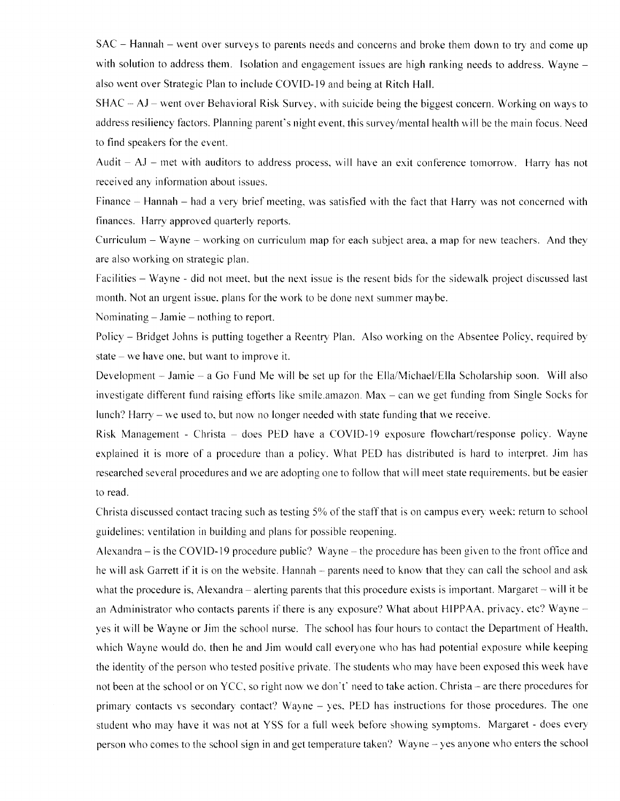SAC – Hannah – went over surveys to parents needs and concerns and broke them down to try and come up with solution to address them. Isolation and engagement issues are high ranking needs to address. Wayne – also went over Strategic PIan to include COVID- l9 and being at Ritch Hall.

 $SHAC - AJ - went over Behavioral Risk Survey, with suicide being the biggest concern. Working on ways to$ address resiliency factors. Planning parent's night event, this survey/mental health will be the main focus. Need to find speakers for the event.

Audit  $-$  AJ  $-$  met with auditors to address process, will have an exit conference tomorrow. Harry has not received any information about issues.

Finance  $-$  Hannah  $-$  had a very brief meeting, was satisfied with the fact that Harry was not concerned with finances. Harry approved quarterly reports.

Curriculum  $-$  Wayne  $-$  working on curriculum map for each subject area, a map for new teachers. And they are also working on strategic plan.

Facilities - Wayne - did not meet, but the next issue is the resent bids for the sidewalk project discussed last month. Not an urgent issue, plans for the work to be done next summer maybe.

Nominating  $-$  Jamie  $-$  nothing to report.

Policy – Bridget Johns is putting together a Reentry Plan. Also working on the Absentee Policy, required by state  $-$  we have one, but want to improve it.

Development  $-$  Jamie  $-$  a Go Fund Me will be set up for the Ella/Michael/Ella Scholarship soon. Will also investigate different fund raising efforts like smile.amazon. Max  $-$  can we get funding from Single Socks for lunch? Harry  $-$  we used to, but now no longer needed with state funding that we receive.

Risk Management - Christa - does PED have a COVID-19 exposure flowchart/response policy. Wayne explained it is more of a procedure than a policy. What PED has distributed is hard to interpret. Jim has researched several procedures and we are adopting one to follow that will meet state requirements, but be easier to read.

Christa discussed contact tracing such as testing 5% of the staff that is on campus every week: return to school guidelines: ventilation in building and plans for possible reopening.

Alexandra  $-$  is the COVID-19 procedure public? Wayne  $-$  the procedure has been given to the front office and he will ask Garrett if it is on the website. Hannah – parents need to know that they can call the school and ask what the procedure is, Alexandra – alerting parents that this procedure exists is important. Margaret – will it be an Administrator who contacts parents if there is any exposure? What about HIPPAA, privacy, etc? Wayne  $$ yes it will be Wayne or Jim the school nurse. The school has four hours to contact the Department of Health, which Wayne would do, then he and Jim would call everyone who has had potential exposure while keeping the identity of the person who tested positive private. The students who may have been exposed this week have not been at the school or on YCC, so right now we don't' need to take action. Christa – are there procedures for primary contacts vs secondary contact? Wayne  $-$  yes. PED has instructions for those procedures. The one student who may have it was not at YSS for a full week before showing symptoms. Margaret - does every person who comes to the school sign in and get temperature taken? Wayne - yes anyone who enters the school